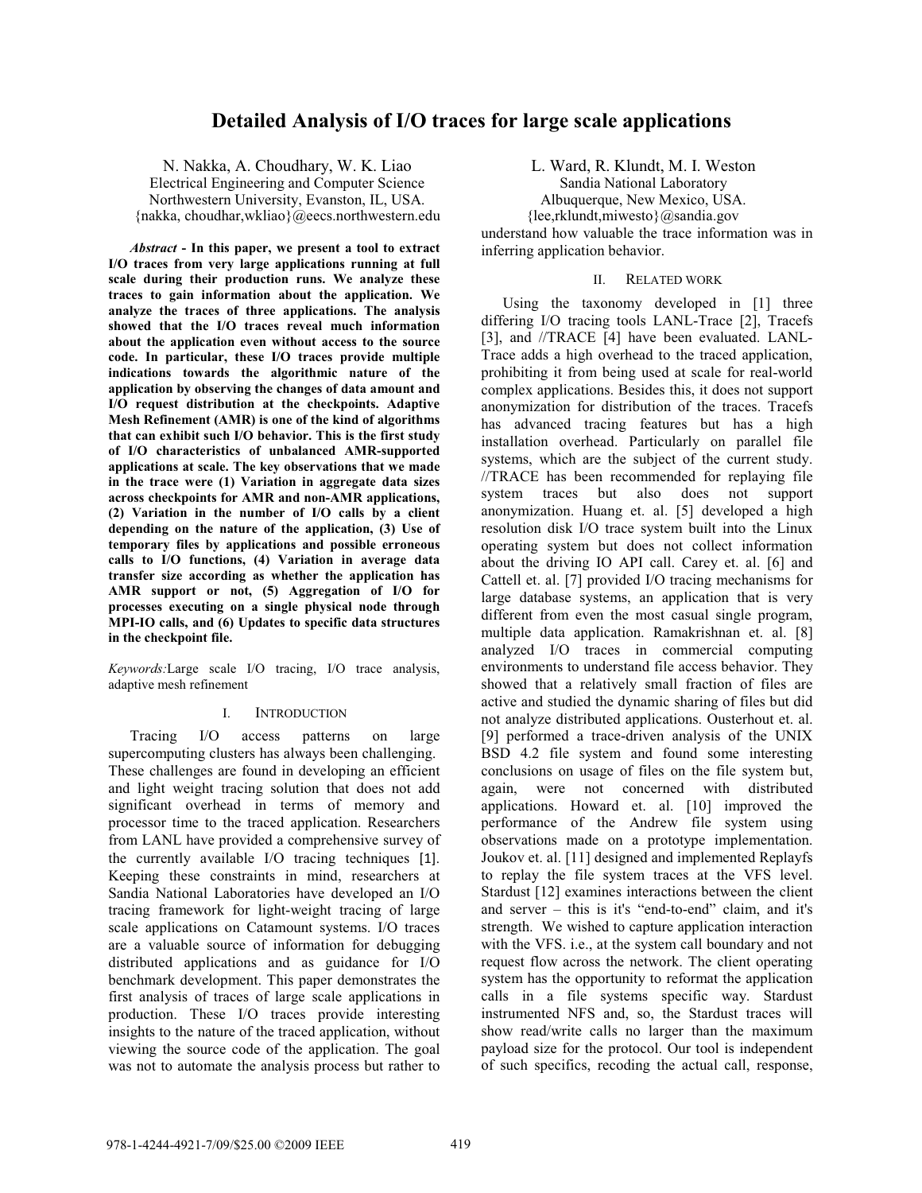# **Detailed Analysis of I/O traces for large scale applications**

N. Nakka, A. Choudhary, W. K. Liao Electrical Engineering and Computer Science Northwestern University, Evanston, IL, USA. {nakka, choudhar,wkliao}@eecs.northwestern.edu

*Abstract* **- In this paper, we present a tool to extract I/O traces from very large applications running at full scale during their production runs. We analyze these traces to gain information about the application. We analyze the traces of three applications. The analysis showed that the I/O traces reveal much information about the application even without access to the source code. In particular, these I/O traces provide multiple indications towards the algorithmic nature of the application by observing the changes of data amount and I/O request distribution at the checkpoints. Adaptive Mesh Refinement (AMR) is one of the kind of algorithms that can exhibit such I/O behavior. This is the first study of I/O characteristics of unbalanced AMR-supported applications at scale. The key observations that we made in the trace were (1) Variation in aggregate data sizes across checkpoints for AMR and non-AMR applications, (2) Variation in the number of I/O calls by a client depending on the nature of the application, (3) Use of temporary files by applications and possible erroneous calls to I/O functions, (4) Variation in average data transfer size according as whether the application has AMR support or not, (5) Aggregation of I/O for processes executing on a single physical node through MPI-IO calls, and (6) Updates to specific data structures in the checkpoint file.** 

*Keywords:*Large scale I/O tracing, I/O trace analysis, adaptive mesh refinement

# I. INTRODUCTION

Tracing I/O access patterns on large supercomputing clusters has always been challenging. These challenges are found in developing an efficient and light weight tracing solution that does not add significant overhead in terms of memory and processor time to the traced application. Researchers from LANL have provided a comprehensive survey of the currently available I/O tracing techniques [1]. Keeping these constraints in mind, researchers at Sandia National Laboratories have developed an I/O tracing framework for light-weight tracing of large scale applications on Catamount systems. I/O traces are a valuable source of information for debugging distributed applications and as guidance for I/O benchmark development. This paper demonstrates the first analysis of traces of large scale applications in production. These I/O traces provide interesting insights to the nature of the traced application, without viewing the source code of the application. The goal was not to automate the analysis process but rather to

L. Ward, R. Klundt, M. I. Weston Sandia National Laboratory

Albuquerque, New Mexico, USA.

{lee,rklundt,miwesto}@sandia.gov

understand how valuable the trace information was in inferring application behavior.

## II. RELATED WORK

Using the taxonomy developed in [1] three differing I/O tracing tools LANL-Trace [2], Tracefs [3], and //TRACE [4] have been evaluated. LANL-Trace adds a high overhead to the traced application, prohibiting it from being used at scale for real-world complex applications. Besides this, it does not support anonymization for distribution of the traces. Tracefs has advanced tracing features but has a high installation overhead. Particularly on parallel file systems, which are the subject of the current study. //TRACE has been recommended for replaying file system traces but also does not support anonymization. Huang et. al. [5] developed a high resolution disk I/O trace system built into the Linux operating system but does not collect information about the driving IO API call. Carey et. al. [6] and Cattell et. al. [7] provided I/O tracing mechanisms for large database systems, an application that is very different from even the most casual single program, multiple data application. Ramakrishnan et. al. [8] analyzed I/O traces in commercial computing environments to understand file access behavior. They showed that a relatively small fraction of files are active and studied the dynamic sharing of files but did not analyze distributed applications. Ousterhout et. al. [9] performed a trace-driven analysis of the UNIX BSD 4.2 file system and found some interesting conclusions on usage of files on the file system but, again, were not concerned with distributed applications. Howard et. al. [10] improved the performance of the Andrew file system using observations made on a prototype implementation. Joukov et. al. [11] designed and implemented Replayfs to replay the file system traces at the VFS level. Stardust [12] examines interactions between the client and server – this is it's "end-to-end" claim, and it's strength. We wished to capture application interaction with the VFS. i.e., at the system call boundary and not request flow across the network. The client operating system has the opportunity to reformat the application calls in a file systems specific way. Stardust instrumented NFS and, so, the Stardust traces will show read/write calls no larger than the maximum payload size for the protocol. Our tool is independent of such specifics, recoding the actual call, response,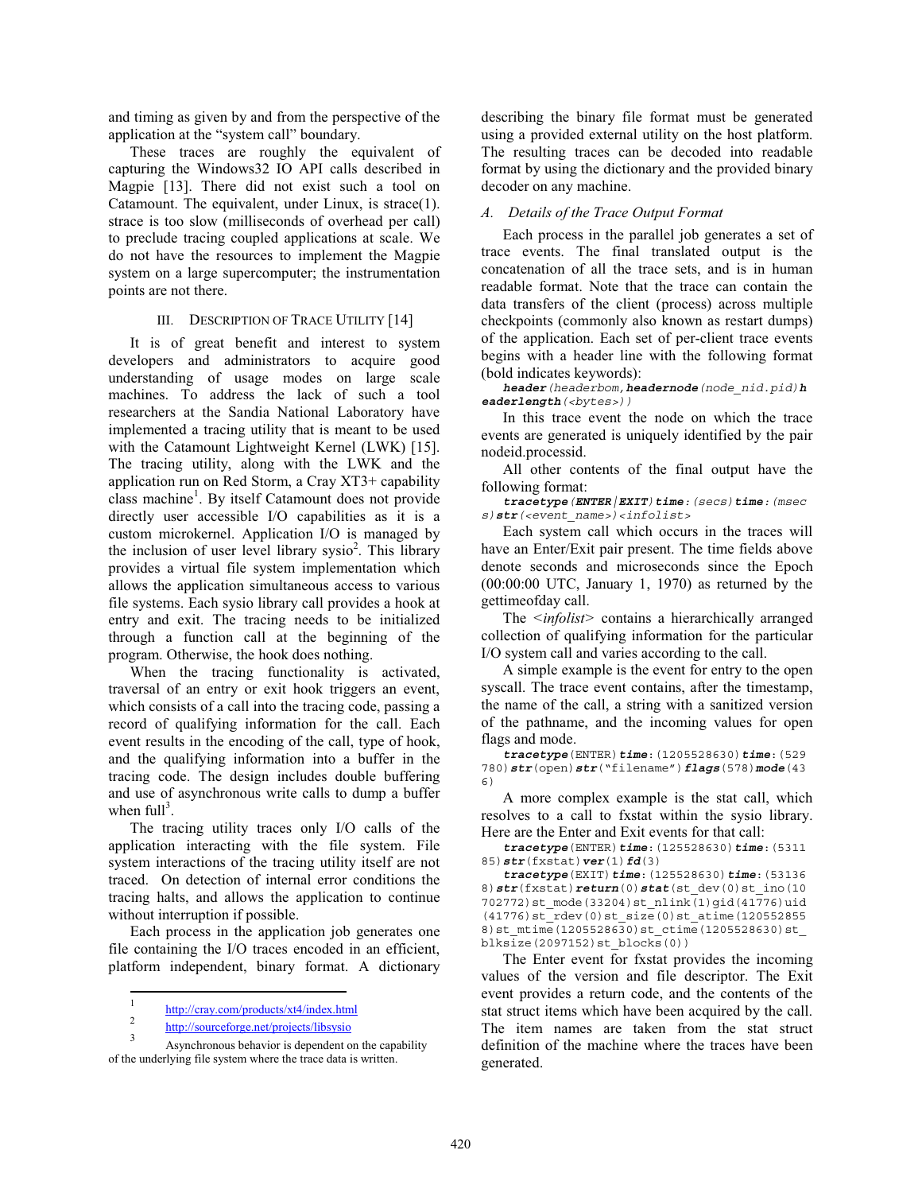and timing as given by and from the perspective of the application at the "system call" boundary.

These traces are roughly the equivalent of capturing the Windows32 IO API calls described in Magpie [13]. There did not exist such a tool on Catamount. The equivalent, under Linux, is strace(1). strace is too slow (milliseconds of overhead per call) to preclude tracing coupled applications at scale. We do not have the resources to implement the Magpie system on a large supercomputer; the instrumentation points are not there.

# III. DESCRIPTION OF TRACE UTILITY [14]

It is of great benefit and interest to system developers and administrators to acquire good understanding of usage modes on large scale machines. To address the lack of such a tool researchers at the Sandia National Laboratory have implemented a tracing utility that is meant to be used with the Catamount Lightweight Kernel (LWK) [15]. The tracing utility, along with the LWK and the application run on Red Storm, a Cray XT3+ capability class machine<sup>1</sup>. By itself Catamount does not provide directly user accessible I/O capabilities as it is a custom microkernel. Application I/O is managed by the inclusion of user level library sysio<sup>2</sup>. This library provides a virtual file system implementation which allows the application simultaneous access to various file systems. Each sysio library call provides a hook at entry and exit. The tracing needs to be initialized through a function call at the beginning of the program. Otherwise, the hook does nothing.

When the tracing functionality is activated, traversal of an entry or exit hook triggers an event, which consists of a call into the tracing code, passing a record of qualifying information for the call. Each event results in the encoding of the call, type of hook, and the qualifying information into a buffer in the tracing code. The design includes double buffering and use of asynchronous write calls to dump a buffer when  $full<sup>3</sup>$ .

The tracing utility traces only I/O calls of the application interacting with the file system. File system interactions of the tracing utility itself are not traced. On detection of internal error conditions the tracing halts, and allows the application to continue without interruption if possible.

Each process in the application job generates one file containing the I/O traces encoded in an efficient, platform independent, binary format. A dictionary

 $\overline{a}$ 

describing the binary file format must be generated using a provided external utility on the host platform. The resulting traces can be decoded into readable format by using the dictionary and the provided binary decoder on any machine.

# *A. Details of the Trace Output Format*

Each process in the parallel job generates a set of trace events. The final translated output is the concatenation of all the trace sets, and is in human readable format. Note that the trace can contain the data transfers of the client (process) across multiple checkpoints (commonly also known as restart dumps) of the application. Each set of per-client trace events begins with a header line with the following format (bold indicates keywords):

*header(headerbom,headernode(node\_nid.pid)h eaderlength(<bytes>))* 

In this trace event the node on which the trace events are generated is uniquely identified by the pair nodeid.processid.

All other contents of the final output have the following format:

```
tracetype(ENTER|EXIT)time:(secs)time:(msec
s)str(<event_name>)<infolist>
```
Each system call which occurs in the traces will have an Enter/Exit pair present. The time fields above denote seconds and microseconds since the Epoch (00:00:00 UTC, January 1, 1970) as returned by the gettimeofday call.

The *<infolist>* contains a hierarchically arranged collection of qualifying information for the particular I/O system call and varies according to the call.

A simple example is the event for entry to the open syscall. The trace event contains, after the timestamp, the name of the call, a string with a sanitized version of the pathname, and the incoming values for open flags and mode.

*tracetype*(ENTER)*time*:(1205528630)*time*:(529 780)*str*(open)*str*("filename")*flags*(578)*mode*(43 6)

A more complex example is the stat call, which resolves to a call to fxstat within the sysio library. Here are the Enter and Exit events for that call:

*tracetype*(ENTER)*time*:(125528630)*time*:(5311 85)*str*(fxstat)*ver*(1)*fd*(3)

*tracetype*(EXIT)*time*:(125528630)*time*:(53136 8)*str*(fxstat)*return*(0)*stat*(st\_dev(0)st\_ino(10 702772)st\_mode(33204)st\_nlink(1)gid(41776)uid  $(41776)$  st  $rdev(0)$  st  $size(0)$  st atime(120552855) 8)st\_mtime(1205528630)st\_ctime(1205528630)st\_ blksize(2097152)st blocks $(0)$ )

The Enter event for fxstat provides the incoming values of the version and file descriptor. The Exit event provides a return code, and the contents of the stat struct items which have been acquired by the call. The item names are taken from the stat struct definition of the machine where the traces have been generated.

<sup>1</sup> http://cray.com/products/xt4/index.html

<sup>2</sup> http://sourceforge.net/projects/libsysio

<sup>3</sup> Asynchronous behavior is dependent on the capability of the underlying file system where the trace data is written.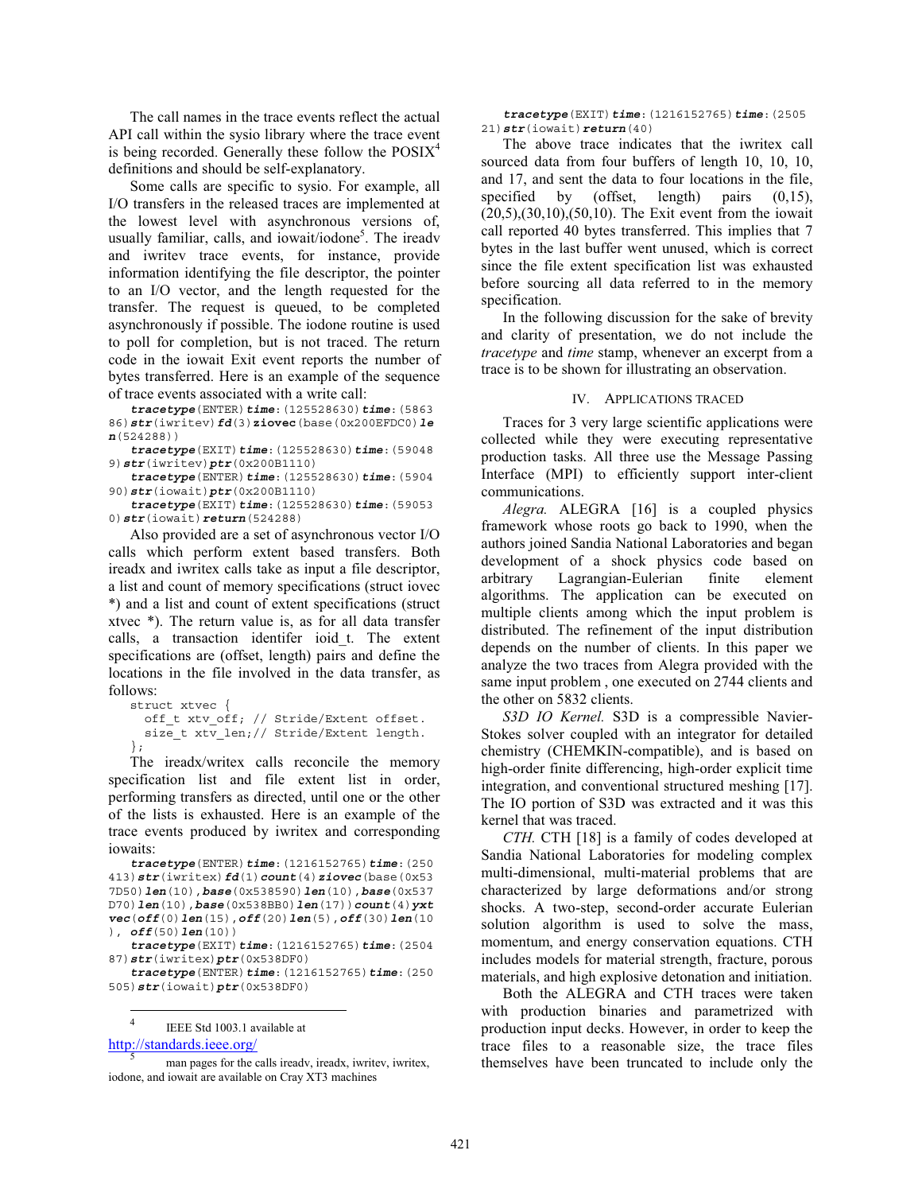The call names in the trace events reflect the actual API call within the sysio library where the trace event is being recorded. Generally these follow the  $POSIX<sup>4</sup>$ definitions and should be self-explanatory.

Some calls are specific to sysio. For example, all I/O transfers in the released traces are implemented at the lowest level with asynchronous versions of, usually familiar, calls, and iowait/iodone<sup>5</sup>. The ireadv and iwritev trace events, for instance, provide information identifying the file descriptor, the pointer to an I/O vector, and the length requested for the transfer. The request is queued, to be completed asynchronously if possible. The iodone routine is used to poll for completion, but is not traced. The return code in the iowait Exit event reports the number of bytes transferred. Here is an example of the sequence of trace events associated with a write call:

*tracetype*(ENTER)*time*:(125528630)*time*:(5863 86)*str*(iwritev)*fd*(3)**ziovec**(base(0x200EFDC0)*le n*(524288))

*tracetype*(EXIT)*time*:(125528630)*time*:(59048 9)*str*(iwritev)*ptr*(0x200B1110)

*tracetype*(ENTER)*time*:(125528630)*time*:(5904 90)*str*(iowait)*ptr*(0x200B1110)

*tracetype*(EXIT)*time*:(125528630)*time*:(59053 0)*str*(iowait)*return*(524288)

Also provided are a set of asynchronous vector I/O calls which perform extent based transfers. Both ireadx and iwritex calls take as input a file descriptor, a list and count of memory specifications (struct iovec \*) and a list and count of extent specifications (struct xtvec \*). The return value is, as for all data transfer calls, a transaction identifer ioid\_t. The extent specifications are (offset, length) pairs and define the locations in the file involved in the data transfer, as follows:

```
struct xtvec { 
  off t xtv off; // Stride/Extent offset.
  size t xtv len;// Stride/Extent length.
\};
```
The ireadx/writex calls reconcile the memory specification list and file extent list in order, performing transfers as directed, until one or the other of the lists is exhausted. Here is an example of the trace events produced by iwritex and corresponding iowaits:

```
tracetype(ENTER)time:(1216152765)time:(250
413)str(iwritex)fd(1)count(4)ziovec(base(0x53
7D50)len(10),base(0x538590)len(10),base(0x537
D70)len(10),base(0x538BB0)len(17))count(4)yxt
vec(off(0)len(15),off(20)len(5),off(30)len(10
), off(50)len(10))
```

```
tracetype(EXIT)time:(1216152765)time:(2504
87)str(iwritex)ptr(0x538DF0)
```

```
tracetype(ENTER)time:(1216152765)time:(250
505)str(iowait)ptr(0x538DF0)
```
4 IEEE Std 1003.1 available at http://standards.ieee.org/ <sup>5</sup>

l

 man pages for the calls ireadv, ireadx, iwritev, iwritex, iodone, and iowait are available on Cray XT3 machines

*tracetype*(EXIT)*time*:(1216152765)*time*:(2505 21)*str*(iowait)*return*(40)

The above trace indicates that the iwritex call sourced data from four buffers of length 10, 10, 10, and 17, and sent the data to four locations in the file, specified by (offset, length) pairs  $(0.15)$ . specified by (offset, length) pairs  $(0,15)$ , (20,5),(30,10),(50,10). The Exit event from the iowait call reported 40 bytes transferred. This implies that 7 bytes in the last buffer went unused, which is correct since the file extent specification list was exhausted before sourcing all data referred to in the memory specification.

In the following discussion for the sake of brevity and clarity of presentation, we do not include the *tracetype* and *time* stamp, whenever an excerpt from a trace is to be shown for illustrating an observation.

# IV. APPLICATIONS TRACED

Traces for 3 very large scientific applications were collected while they were executing representative production tasks. All three use the Message Passing Interface (MPI) to efficiently support inter-client communications.

*Alegra.* ALEGRA [16] is a coupled physics framework whose roots go back to 1990, when the authors joined Sandia National Laboratories and began development of a shock physics code based on arbitrary Lagrangian-Eulerian finite element algorithms. The application can be executed on multiple clients among which the input problem is distributed. The refinement of the input distribution depends on the number of clients. In this paper we analyze the two traces from Alegra provided with the same input problem , one executed on 2744 clients and the other on 5832 clients.

*S3D IO Kernel.* S3D is a compressible Navier-Stokes solver coupled with an integrator for detailed chemistry (CHEMKIN-compatible), and is based on high-order finite differencing, high-order explicit time integration, and conventional structured meshing [17]. The IO portion of S3D was extracted and it was this kernel that was traced.

*CTH.* CTH [18] is a family of codes developed at Sandia National Laboratories for modeling complex multi-dimensional, multi-material problems that are characterized by large deformations and/or strong shocks. A two-step, second-order accurate Eulerian solution algorithm is used to solve the mass, momentum, and energy conservation equations. CTH includes models for material strength, fracture, porous materials, and high explosive detonation and initiation.

Both the ALEGRA and CTH traces were taken with production binaries and parametrized with production input decks. However, in order to keep the trace files to a reasonable size, the trace files themselves have been truncated to include only the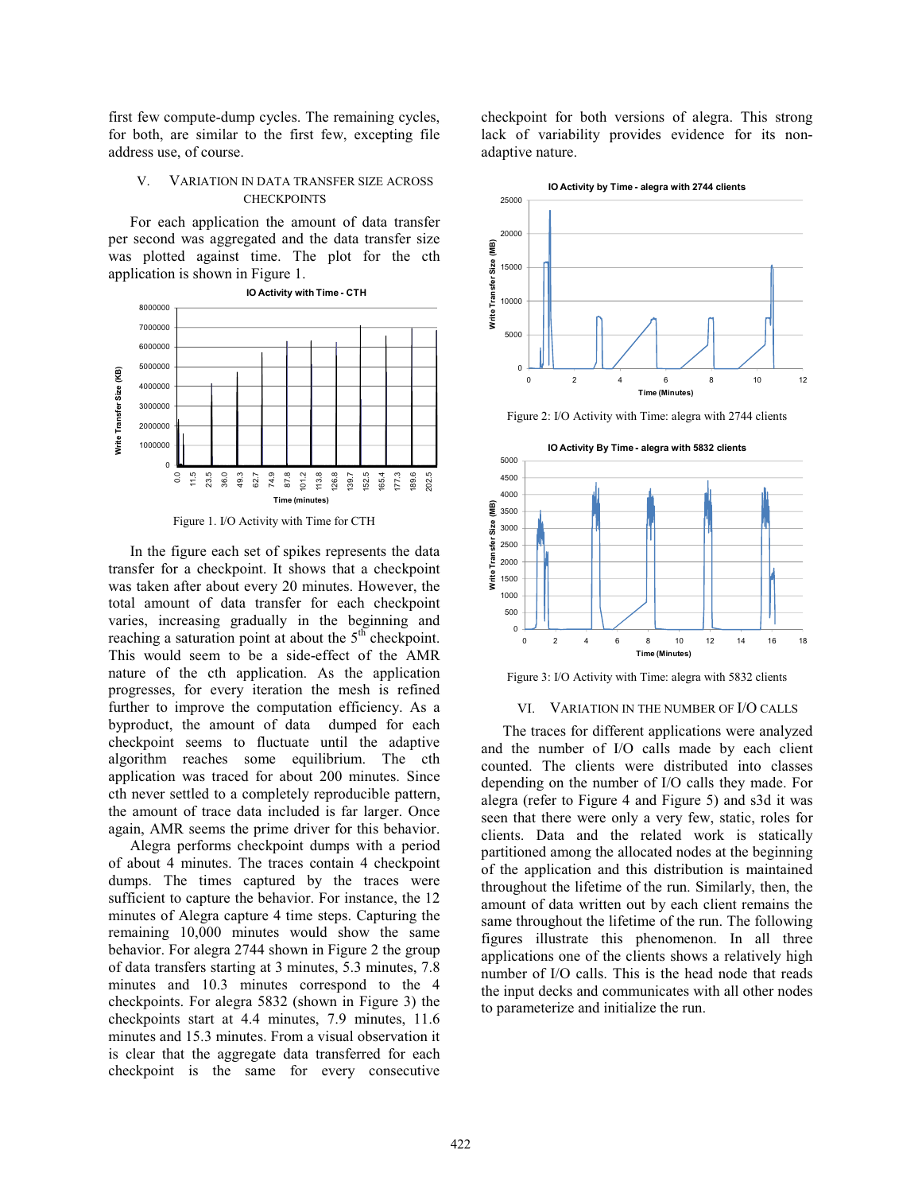first few compute-dump cycles. The remaining cycles, for both, are similar to the first few, excepting file address use, of course.

## V. VARIATION IN DATA TRANSFER SIZE ACROSS **CHECKPOINTS**

For each application the amount of data transfer per second was aggregated and the data transfer size was plotted against time. The plot for the cth application is shown in Figure 1.



Figure 1. I/O Activity with Time for CTH

In the figure each set of spikes represents the data transfer for a checkpoint. It shows that a checkpoint was taken after about every 20 minutes. However, the total amount of data transfer for each checkpoint varies, increasing gradually in the beginning and reaching a saturation point at about the 5<sup>th</sup> checkpoint. This would seem to be a side-effect of the AMR nature of the cth application. As the application progresses, for every iteration the mesh is refined further to improve the computation efficiency. As a byproduct, the amount of data dumped for each checkpoint seems to fluctuate until the adaptive algorithm reaches some equilibrium. The cth application was traced for about 200 minutes. Since cth never settled to a completely reproducible pattern, the amount of trace data included is far larger. Once again, AMR seems the prime driver for this behavior.

Alegra performs checkpoint dumps with a period of about 4 minutes. The traces contain 4 checkpoint dumps. The times captured by the traces were sufficient to capture the behavior. For instance, the 12 minutes of Alegra capture 4 time steps. Capturing the remaining 10,000 minutes would show the same behavior. For alegra 2744 shown in Figure 2 the group of data transfers starting at 3 minutes, 5.3 minutes, 7.8 minutes and 10.3 minutes correspond to the 4 checkpoints. For alegra 5832 (shown in Figure 3) the checkpoints start at 4.4 minutes, 7.9 minutes, 11.6 minutes and 15.3 minutes. From a visual observation it is clear that the aggregate data transferred for each checkpoint is the same for every consecutive

checkpoint for both versions of alegra. This strong lack of variability provides evidence for its nonadaptive nature.



Figure 2: I/O Activity with Time: alegra with 2744 clients



Figure 3: I/O Activity with Time: alegra with 5832 clients

## VI. VARIATION IN THE NUMBER OF I/O CALLS

The traces for different applications were analyzed and the number of I/O calls made by each client counted. The clients were distributed into classes depending on the number of I/O calls they made. For alegra (refer to Figure 4 and Figure 5) and s3d it was seen that there were only a very few, static, roles for clients. Data and the related work is statically partitioned among the allocated nodes at the beginning of the application and this distribution is maintained throughout the lifetime of the run. Similarly, then, the amount of data written out by each client remains the same throughout the lifetime of the run. The following figures illustrate this phenomenon. In all three applications one of the clients shows a relatively high number of I/O calls. This is the head node that reads the input decks and communicates with all other nodes to parameterize and initialize the run.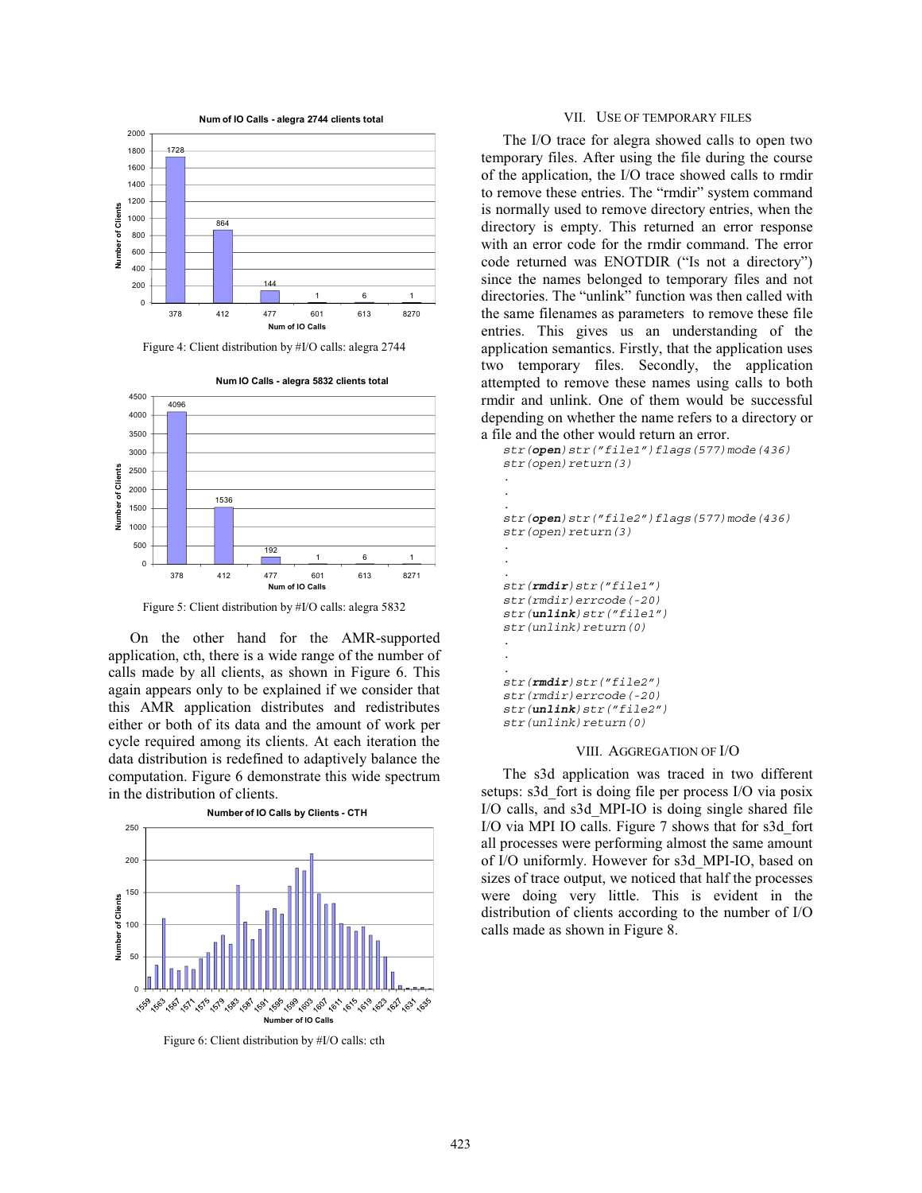

Figure 4: Client distribution by #I/O calls: alegra 2744



**Num IO Calls - alegra 5832 clients total**

Figure 5: Client distribution by #I/O calls: alegra 5832

On the other hand for the AMR-supported application, cth, there is a wide range of the number of calls made by all clients, as shown in Figure 6. This again appears only to be explained if we consider that this AMR application distributes and redistributes either or both of its data and the amount of work per cycle required among its clients. At each iteration the data distribution is redefined to adaptively balance the computation. Figure 6 demonstrate this wide spectrum in the distribution of clients.



Figure 6: Client distribution by #I/O calls: cth

### VII. USE OF TEMPORARY FILES

The I/O trace for alegra showed calls to open two temporary files. After using the file during the course of the application, the I/O trace showed calls to rmdir to remove these entries. The "rmdir" system command is normally used to remove directory entries, when the directory is empty. This returned an error response with an error code for the rmdir command. The error code returned was ENOTDIR ("Is not a directory") since the names belonged to temporary files and not directories. The "unlink" function was then called with the same filenames as parameters to remove these file entries. This gives us an understanding of the application semantics. Firstly, that the application uses two temporary files. Secondly, the application attempted to remove these names using calls to both rmdir and unlink. One of them would be successful depending on whether the name refers to a directory or a file and the other would return an error.

| $str(open) str("file1") flags (577) mode (436)$ |
|-------------------------------------------------|
| str(open)return(3)                              |
|                                                 |
|                                                 |
|                                                 |
| $str(open) str("file2") flags (577) mode (436)$ |
| str(open)return(3)                              |
|                                                 |
|                                                 |
|                                                 |
| <i>str(<b>rmdir</b>)str("file1")</i>            |
| str(rmdir)errcode(-20)                          |
| <i>str</i> ( <b>unlink</b> )str("file1")        |
| str(unlink)return(0)                            |
|                                                 |
|                                                 |
|                                                 |
| str( <b>rmdir</b> )str("file2")                 |
| str(rmdir)errcode(-20)                          |
| str( <b>unlink</b> )str("file2")                |
| str(unlink)return(0)                            |

#### VIII. AGGREGATION OF I/O

The s3d application was traced in two different setups: s3d fort is doing file per process I/O via posix I/O calls, and s3d\_MPI-IO is doing single shared file I/O via MPI IO calls. Figure 7 shows that for s3d\_fort all processes were performing almost the same amount of I/O uniformly. However for s3d\_MPI-IO, based on sizes of trace output, we noticed that half the processes were doing very little. This is evident in the distribution of clients according to the number of I/O calls made as shown in Figure 8.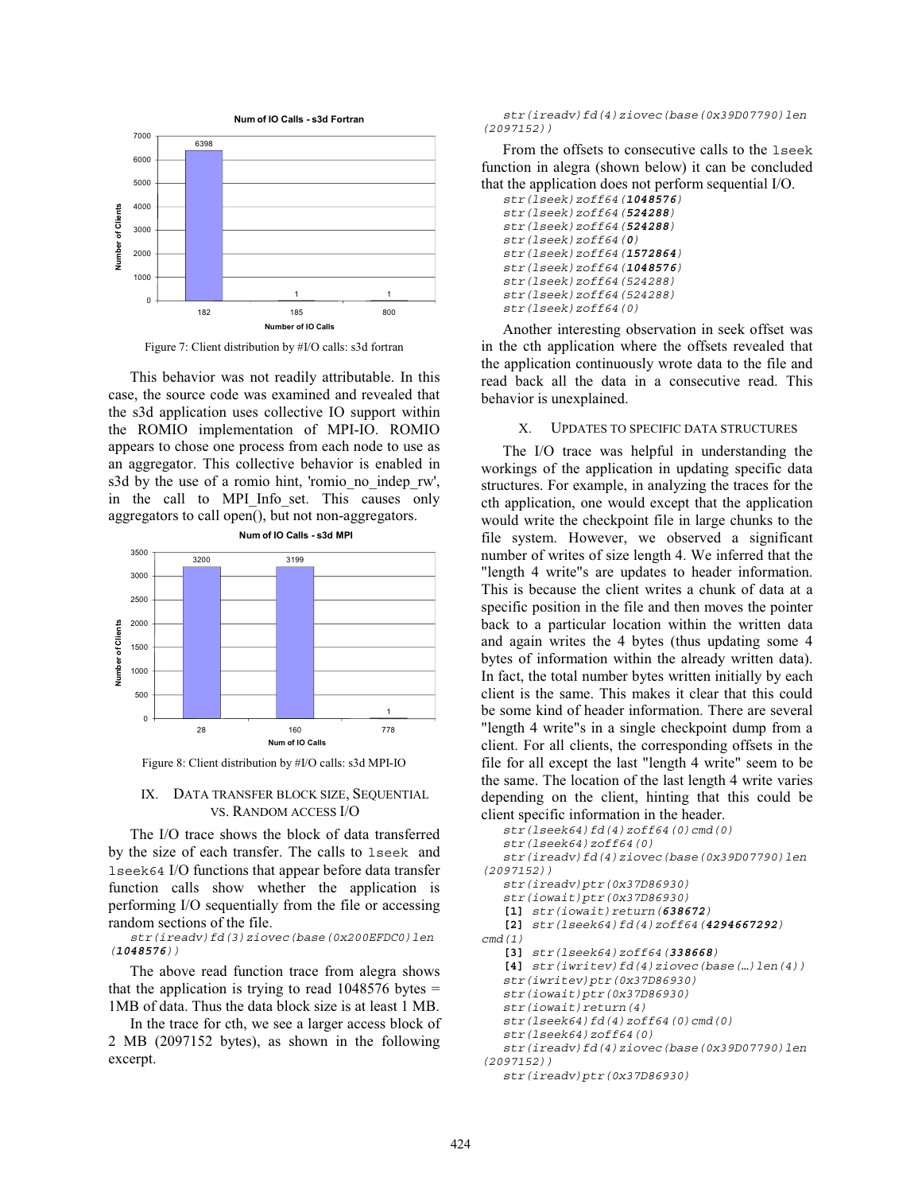

Figure 7: Client distribution by #I/O calls: s3d fortran

This behavior was not readily attributable. In this case, the source code was examined and revealed that the s3d application uses collective IO support within the ROMIO implementation of MPI-IO. ROMIO appears to chose one process from each node to use as an aggregator. This collective behavior is enabled in s3d by the use of a romio hint, 'romio no indep rw', in the call to MPI Info set. This causes only aggregators to call open(), but not non-aggregators.



Figure 8: Client distribution by #I/O calls: s3d MPI-IO

## IX. DATA TRANSFER BLOCK SIZE, SEQUENTIAL VS. RANDOM ACCESS I/O

The I/O trace shows the block of data transferred by the size of each transfer. The calls to lseek and lseek64 I/O functions that appear before data transfer function calls show whether the application is performing I/O sequentially from the file or accessing random sections of the file.

*str(ireadv)fd(3)ziovec(base(0x200EFDC0)len (1048576))* 

The above read function trace from alegra shows that the application is trying to read  $1048576$  bytes = 1MB of data. Thus the data block size is at least 1 MB.

In the trace for cth, we see a larger access block of 2 MB (2097152 bytes), as shown in the following excerpt.

*str(ireadv)fd(4)ziovec(base(0x39D07790)len (2097152))* 

From the offsets to consecutive calls to the lseek function in alegra (shown below) it can be concluded that the application does not perform sequential I/O.

| str(lseek)zoff64(1048576) |  |
|---------------------------|--|
| str(lseek)zoff64(524288)  |  |
| str(lseek)zoff64(524288)  |  |
| str(Iseek)zoff64(0)       |  |
| str(lseek)zoff64(1572864) |  |
| str(lseek)zoff64(1048576) |  |
| str(lseek)zoff64(524288)  |  |
| str(lseek)zoff64(524288)  |  |
| str(lseck) zoff64(0)      |  |
|                           |  |

Another interesting observation in seek offset was in the cth application where the offsets revealed that the application continuously wrote data to the file and read back all the data in a consecutive read. This behavior is unexplained.

#### X. UPDATES TO SPECIFIC DATA STRUCTURES

The I/O trace was helpful in understanding the workings of the application in updating specific data structures. For example, in analyzing the traces for the cth application, one would except that the application would write the checkpoint file in large chunks to the file system. However, we observed a significant number of writes of size length 4. We inferred that the "length 4 write"s are updates to header information. This is because the client writes a chunk of data at a specific position in the file and then moves the pointer back to a particular location within the written data and again writes the 4 bytes (thus updating some 4 bytes of information within the already written data). In fact, the total number bytes written initially by each client is the same. This makes it clear that this could be some kind of header information. There are several "length 4 write"s in a single checkpoint dump from a client. For all clients, the corresponding offsets in the file for all except the last "length 4 write" seem to be the same. The location of the last length 4 write varies depending on the client, hinting that this could be client specific information in the header.

```
str(lseek64)fd(4)zoff64(0)cmd(0) 
   str(lseek64)zoff64(0) 
   str(ireadv)fd(4)ziovec(base(0x39D07790)len
(2097152)) 
   str(ireadv)ptr(0x37D86930) 
   str(iowait)ptr(0x37D86930) 
   [1] str(iowait)return(638672) 
   [2] str(lseek64)fd(4)zoff64(4294667292) 
cmd(1) 
   [3] str(lseek64)zoff64(338668) 
   [4] str(iwritev)fd(4)ziovec(base(…)len(4)) 
   str(iwritev)ptr(0x37D86930) 
   str(iowait)ptr(0x37D86930) 
   str(iowait)return(4) 
   str(lseek64)fd(4)zoff64(0)cmd(0) 
   str(lseek64)zoff64(0) 
   str(ireadv)fd(4)ziovec(base(0x39D07790)len
(2097152)) 
   str(ireadv)ptr(0x37D86930)
```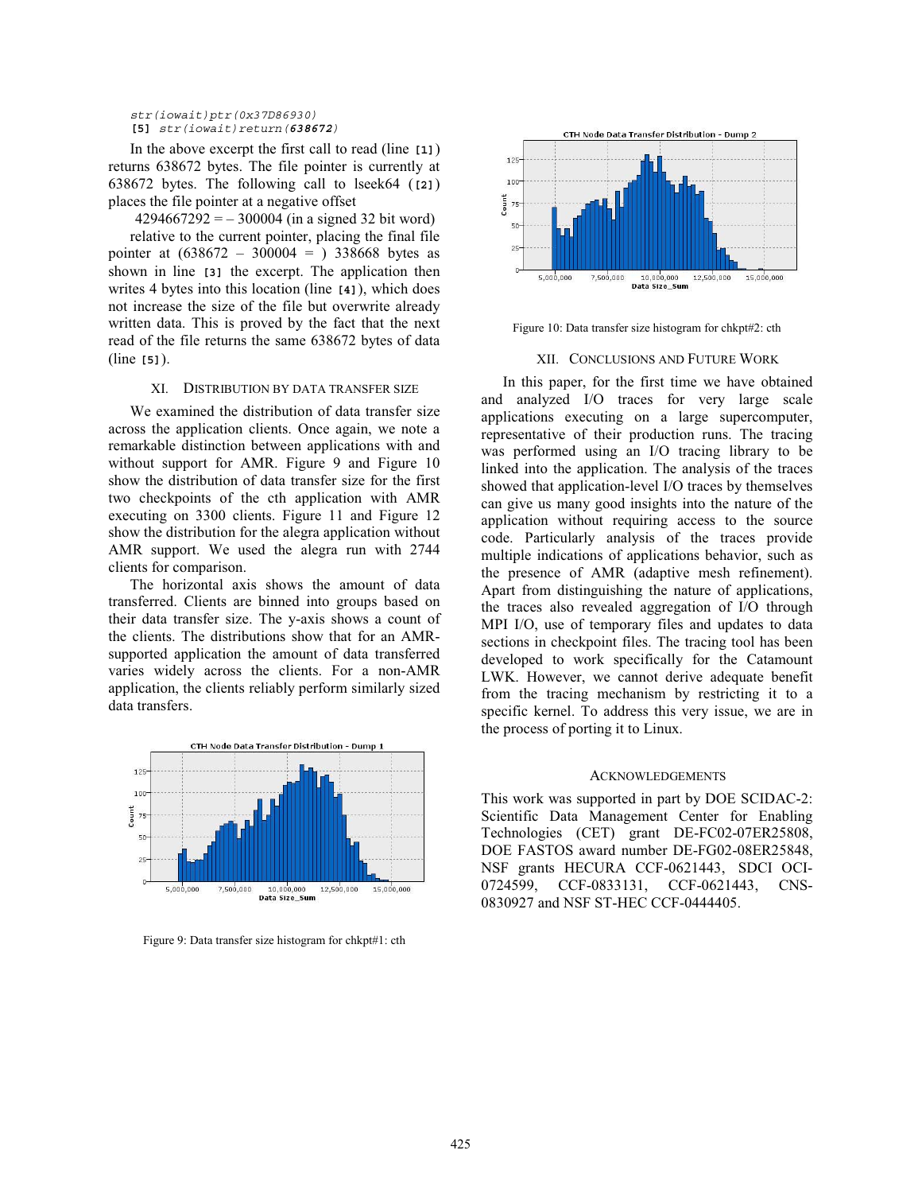*str(iowait)ptr(0x37D86930)*  **[5]** *str(iowait)return(638672)* 

In the above excerpt the first call to read (line **[1]**) returns 638672 bytes. The file pointer is currently at 638672 bytes. The following call to lseek64 (**[2]**) places the file pointer at a negative offset

 $4294667292 = -300004$  (in a signed 32 bit word) relative to the current pointer, placing the final file pointer at  $(638672 - 300004 = )$  338668 bytes as shown in line **[3]** the excerpt. The application then writes 4 bytes into this location (line **[4]**), which does not increase the size of the file but overwrite already written data. This is proved by the fact that the next read of the file returns the same 638672 bytes of data (line **[5]**).

## XI. DISTRIBUTION BY DATA TRANSFER SIZE

We examined the distribution of data transfer size across the application clients. Once again, we note a remarkable distinction between applications with and without support for AMR. Figure 9 and Figure 10 show the distribution of data transfer size for the first two checkpoints of the cth application with AMR executing on 3300 clients. Figure 11 and Figure 12 show the distribution for the alegra application without AMR support. We used the alegra run with 2744 clients for comparison.

The horizontal axis shows the amount of data transferred. Clients are binned into groups based on their data transfer size. The y-axis shows a count of the clients. The distributions show that for an AMRsupported application the amount of data transferred varies widely across the clients. For a non-AMR application, the clients reliably perform similarly sized data transfers.



Figure 9: Data transfer size histogram for chkpt#1: cth



Figure 10: Data transfer size histogram for chkpt#2: cth

#### XII. CONCLUSIONS AND FUTURE WORK

In this paper, for the first time we have obtained and analyzed I/O traces for very large scale applications executing on a large supercomputer, representative of their production runs. The tracing was performed using an I/O tracing library to be linked into the application. The analysis of the traces showed that application-level I/O traces by themselves can give us many good insights into the nature of the application without requiring access to the source code. Particularly analysis of the traces provide multiple indications of applications behavior, such as the presence of AMR (adaptive mesh refinement). Apart from distinguishing the nature of applications, the traces also revealed aggregation of I/O through MPI I/O, use of temporary files and updates to data sections in checkpoint files. The tracing tool has been developed to work specifically for the Catamount LWK. However, we cannot derive adequate benefit from the tracing mechanism by restricting it to a specific kernel. To address this very issue, we are in the process of porting it to Linux.

#### ACKNOWLEDGEMENTS

This work was supported in part by DOE SCIDAC-2: Scientific Data Management Center for Enabling Technologies (CET) grant DE-FC02-07ER25808, DOE FASTOS award number DE-FG02-08ER25848, NSF grants HECURA CCF-0621443, SDCI OCI-0724599, CCF-0833131, CCF-0621443, CNS-0830927 and NSF ST-HEC CCF-0444405.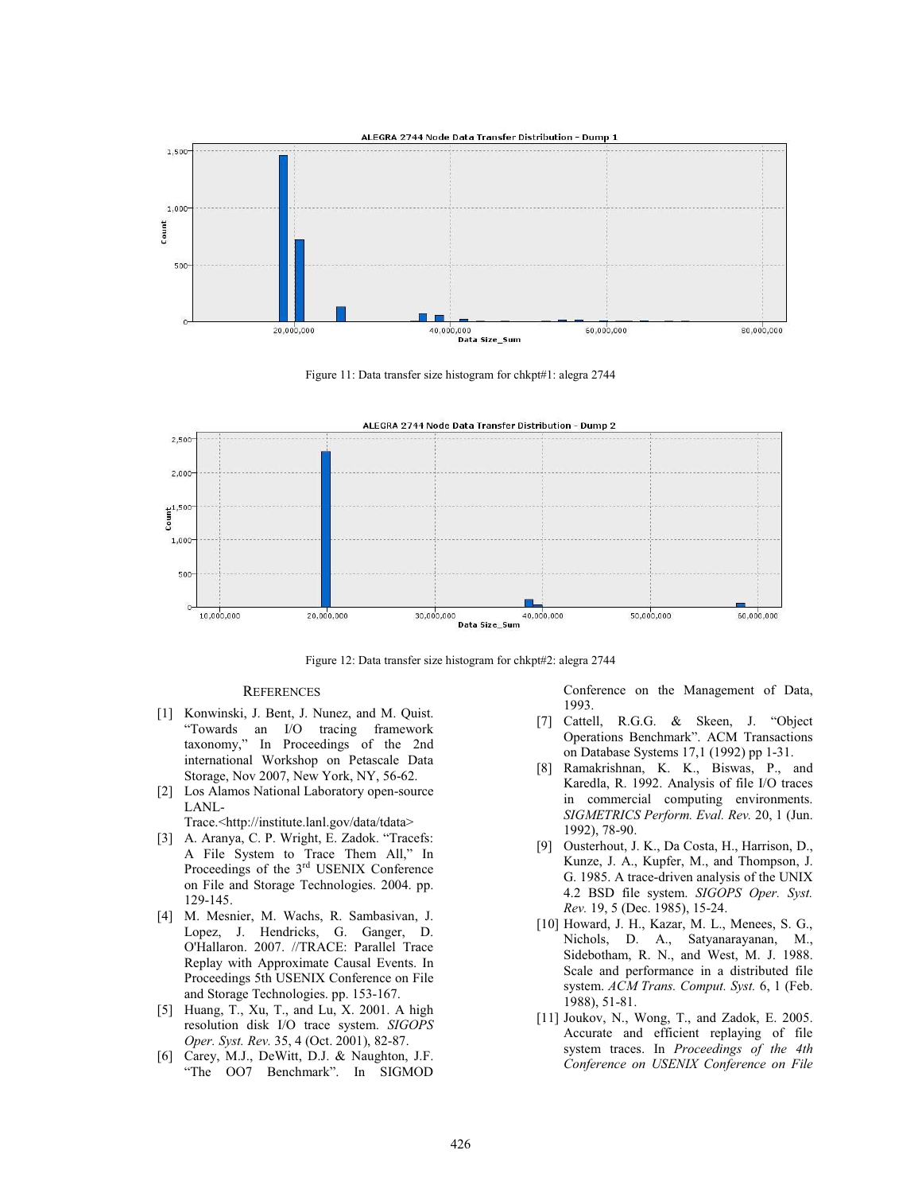

Figure 11: Data transfer size histogram for chkpt#1: alegra 2744



Figure 12: Data transfer size histogram for chkpt#2: alegra 2744

#### **REFERENCES**

- [1] Konwinski, J. Bent, J. Nunez, and M. Quist. "Towards an I/O tracing framework taxonomy," In Proceedings of the 2nd international Workshop on Petascale Data Storage, Nov 2007, New York, NY, 56-62.
- [2] Los Alamos National Laboratory open-source LANL-

Trace.<http://institute.lanl.gov/data/tdata>

- [3] A. Aranya, C. P. Wright, E. Zadok. "Tracefs: A File System to Trace Them All," In Proceedings of the 3<sup>rd</sup> USENIX Conference on File and Storage Technologies. 2004. pp. 129-145.
- [4] M. Mesnier, M. Wachs, R. Sambasivan, J. Lopez, J. Hendricks, G. Ganger, D. O'Hallaron. 2007. //TRACE: Parallel Trace Replay with Approximate Causal Events. In Proceedings 5th USENIX Conference on File and Storage Technologies. pp. 153-167.
- [5] Huang, T., Xu, T., and Lu, X. 2001. A high resolution disk I/O trace system. *SIGOPS Oper. Syst. Rev.* 35, 4 (Oct. 2001), 82-87.
- [6] Carey, M.J., DeWitt, D.J. & Naughton, J.F. "The OO7 Benchmark". In SIGMOD

Conference on the Management of Data, 1993.

- [7] Cattell, R.G.G. & Skeen, J. "Object Operations Benchmark". ACM Transactions on Database Systems 17,1 (1992) pp 1-31.
- [8] Ramakrishnan, K. K., Biswas, P., and Karedla, R. 1992. Analysis of file I/O traces in commercial computing environments. *SIGMETRICS Perform. Eval. Rev.* 20, 1 (Jun. 1992), 78-90.
- [9] Ousterhout, J. K., Da Costa, H., Harrison, D., Kunze, J. A., Kupfer, M., and Thompson, J. G. 1985. A trace-driven analysis of the UNIX 4.2 BSD file system. *SIGOPS Oper. Syst. Rev.* 19, 5 (Dec. 1985), 15-24.
- [10] Howard, J. H., Kazar, M. L., Menees, S. G., Nichols, D. A., Satyanarayanan, M., Sidebotham, R. N., and West, M. J. 1988. Scale and performance in a distributed file system. *ACM Trans. Comput. Syst.* 6, 1 (Feb. 1988), 51-81.
- [11] Joukov, N., Wong, T., and Zadok, E. 2005. Accurate and efficient replaying of file system traces. In *Proceedings of the 4th Conference on USENIX Conference on File*